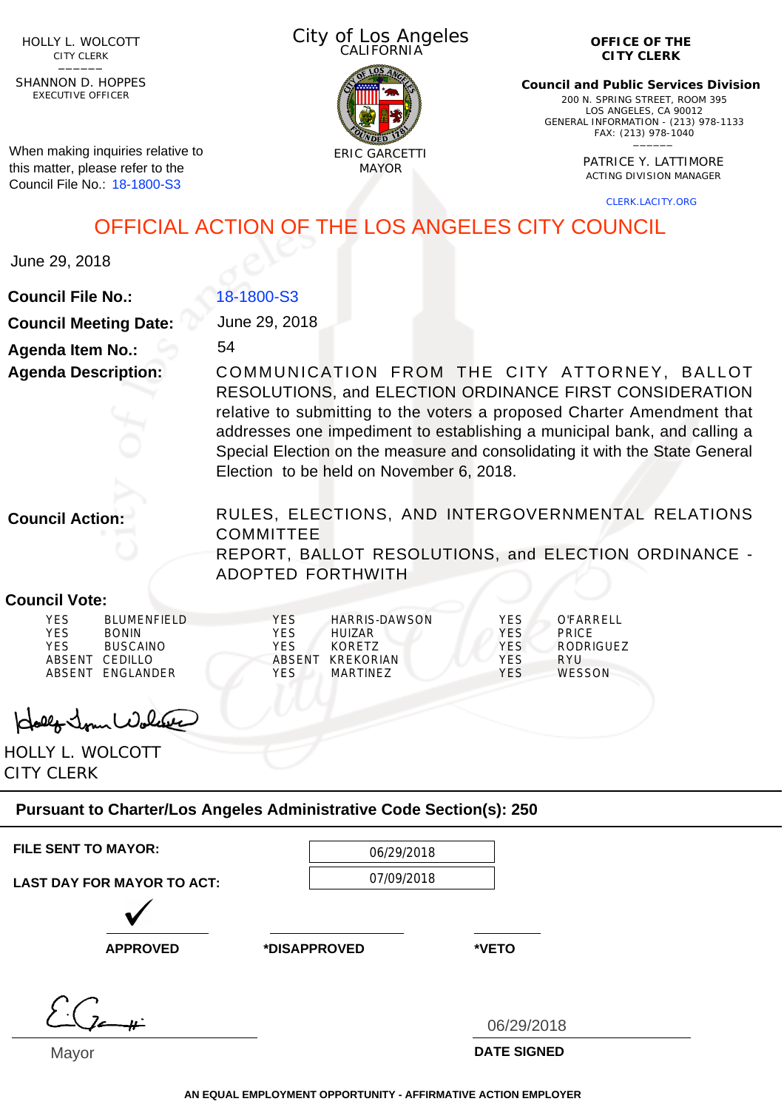HOLLY L. WOLCOTT CITY CLERK<br>—————

EXECUTIVE OFFICER SHANNON D. HOPPES

When making inquiries relative to this matter, please refer to the Council File No.: 18-1800-S3

City of Los Angeles CALIFORNIA



**OFFICE OF THE CITY CLERK**

**Council and Public Services Division** 200 N. SPRING STREET, ROOM 395 LOS ANGELES, CA 90012 GENERAL INFORMATION - (213) 978-1133 FAX: (213) 978-1040 \_\_\_\_\_\_

> PATRICE Y. LATTIMORE ACTING DIVISION MANAGER

> > CLERK.LACITY.ORG

OFFICIAL ACTION OF THE LOS ANGELES CITY COUNCIL

June 29, 2018

**Council File No.:**

18-1800-S3

**Council Meeting Date: Agenda Item No.:**

**Agenda Description:**

June 29, 2018

54

COMMUNICATION FROM THE CITY ATTORNEY, BALLOT RESOLUTIONS, and ELECTION ORDINANCE FIRST CONSIDERATION relative to submitting to the voters a proposed Charter Amendment that addresses one impediment to establishing a municipal bank, and calling a Special Election on the measure and consolidating it with the State General Election to be held on November 6, 2018.

**Council Action:**

RULES, ELECTIONS, AND INTERGOVERNMENTAL RELATIONS **COMMITTEE** REPORT, BALLOT RESOLUTIONS, and ELECTION ORDINANCE - ADOPTED FORTHWITH

## **Council Vote:**

| YES    | <b>BLUMENFIFLD</b> | <b>YFS</b> | HARRIS-DAWSON | YES.       | O'FARRFI I    |
|--------|--------------------|------------|---------------|------------|---------------|
| YES    | <b>BONIN</b>       | YES        | <b>HUIZAR</b> | <b>YES</b> | <b>PRICE</b>  |
| YES    | <b>BUSCAINO</b>    | YES        | KORFT7        | YES.       | RODRIGUEZ     |
| ABSENT | CEDILLO            | ABSENT     | KREKORIAN     | <b>YES</b> | RYU           |
| ABSENT | FNGI ANDER         | YES        | MARTINEZ      | YFS        | <b>WESSON</b> |
|        |                    |            |               |            |               |
|        |                    |            |               |            |               |

Holly Jour Wolcake

HOLLY L. WOLCOTT CITY CLERK

**Pursuant to Charter/Los Angeles Administrative Code Section(s): 250**

| <b>FILE SENT TO MAYOR:</b>        | 06/29/2018   |                    |
|-----------------------------------|--------------|--------------------|
| <b>LAST DAY FOR MAYOR TO ACT:</b> | 07/09/2018   |                    |
| <b>APPROVED</b>                   | *DISAPPROVED | *VETO              |
|                                   |              | 06/29/2018         |
| $M_{\odot}$                       |              | <b>DATE CIONED</b> |

Mayor

**DATE SIGNED**

**AN EQUAL EMPLOYMENT OPPORTUNITY - AFFIRMATIVE ACTION EMPLOYER**